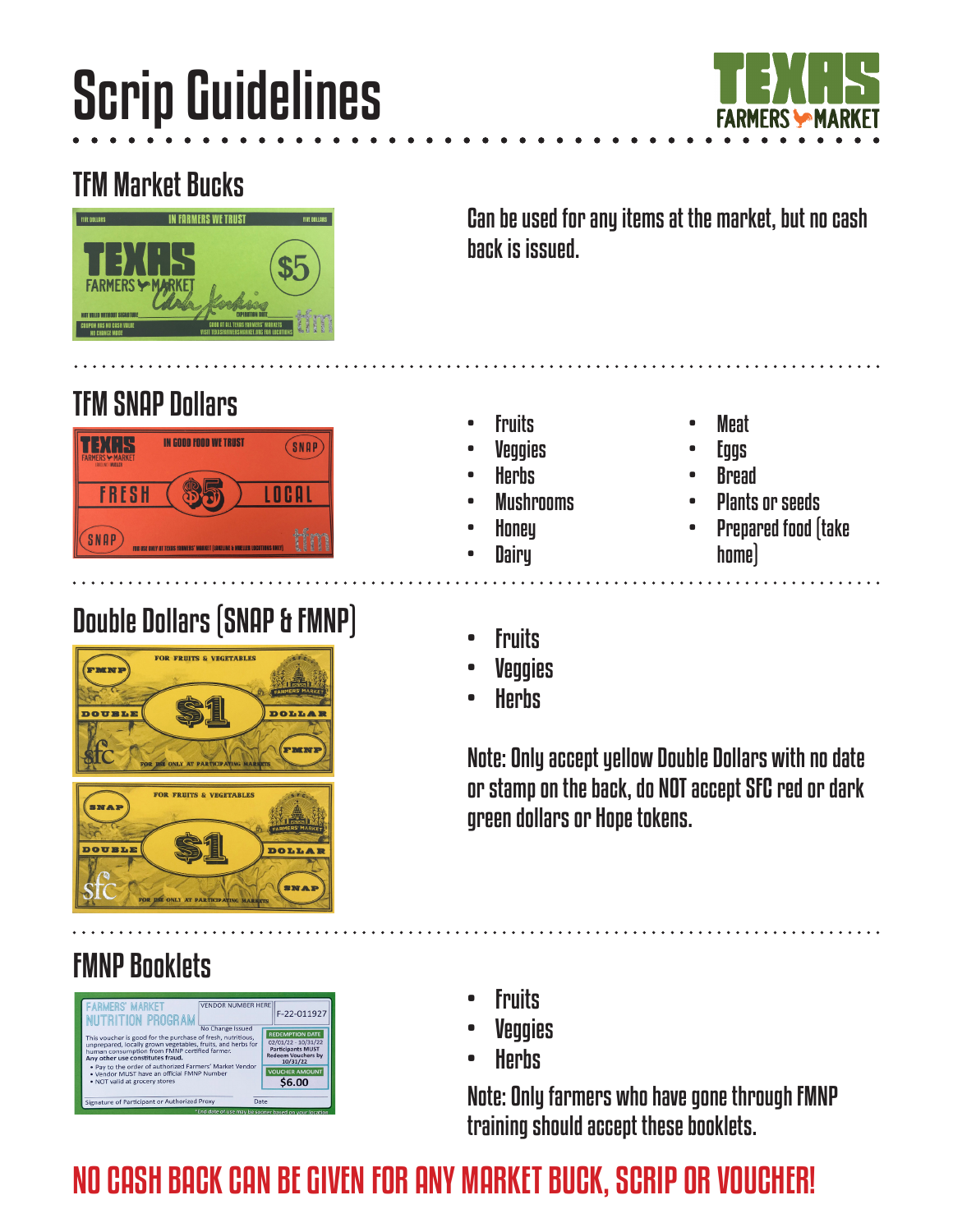# Scrip Guidelines



### TFM Market Bucks



Can be used for any items at the market, but no cash back is issued.

### TFM SNAP Dollars



## **Double Dollars (SNAP & FMNP)**<br>
Fig. 3. New TOP SA VEGETABLES



### FMNP Booklets



- **Fruits**
- **Veggies**
- **Herbs**
- **Mushrooms**
- Honey
- **Dairy**
- 
- 
- **Veggies**
- **Herbs**

Note: Only accept yellow Double Dollars with no date or stamp on the back, do NOT accept SFC red or dark green dollars or Hope tokens.

- **Fruits**
- **Veggies**
- **Herbs**

Note: Only farmers who have gone through FMNP training should accept these booklets.

### NO CASH BACK CAN BE GIVEN FOR ANY MARKET BUCK, SCRIP OR VOUCHER!

- - **Eggs**

**Meat** 

- Bread
- Plants or seeds
- Prepared food (take home)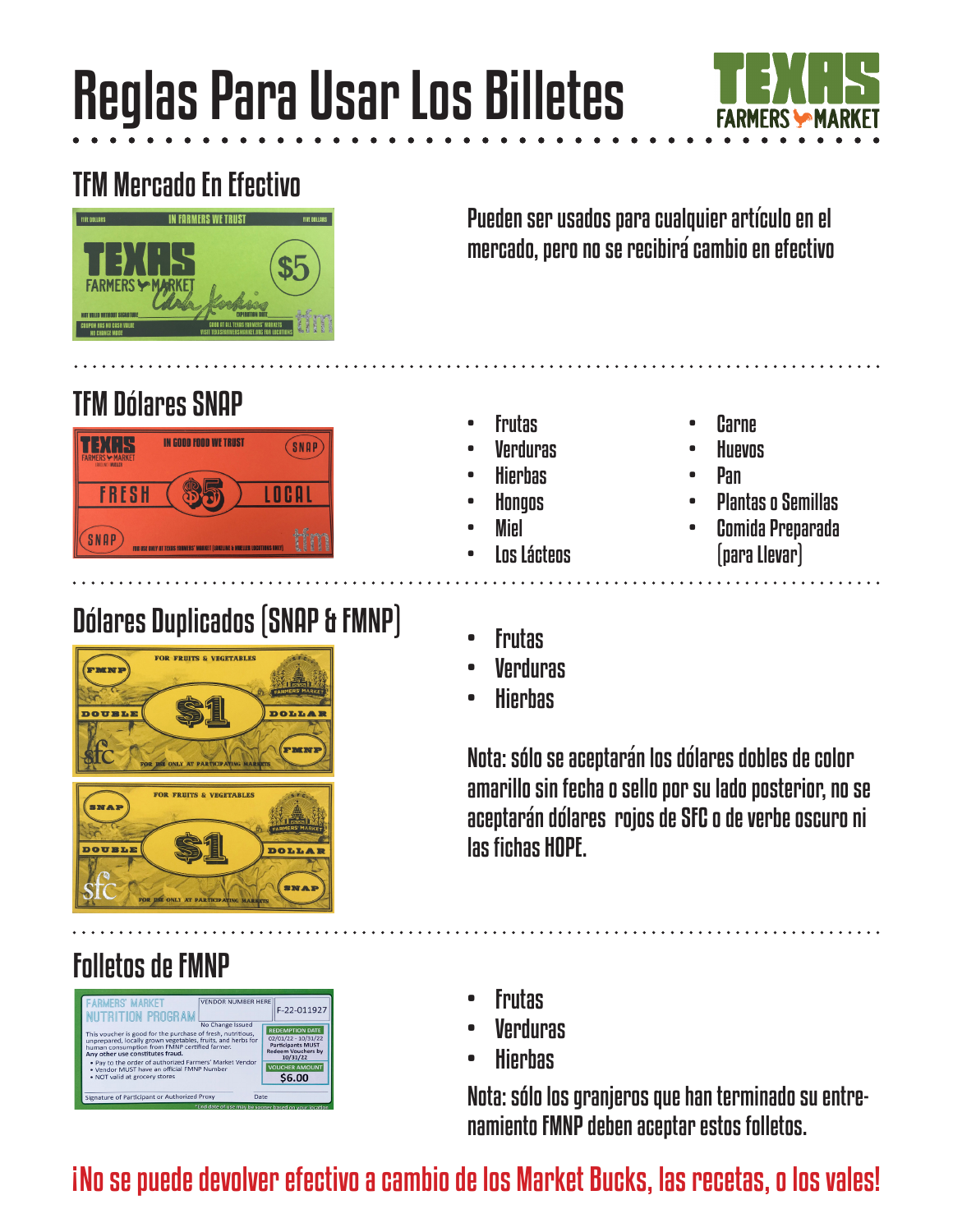## Reglas Para Usar Los Billetes



### TFM Mercado En Efectivo



Pueden ser usados para cualquier articulo en el `mercado, pero no se recibirá cambio en efectivo

#### **TFM Dólares SNAP**



### Dolares Duplicados (SNAP & FMNP) • Frutas `



### Folletos de FMNP



- **Frutas**
- **Verduras**
- Hierbas
- Hongos
- Miel
- **Los Lácteos**
- Carne
- **Huevos**
- Pan
- Plantas o Semillas
- Comida Preparada (para Llevar)

- 
- **Verduras**
- Hierbas

Nota: sólo se aceptarán los dólares dobles de color amarillo sin fecha o sello por su lado posterior, no se aceptarán dólares rojos de SFC o de verbe oscuro ni las fichas HOPE.

- Frutas
- **Verduras**
- Hierbas

Nota: sólo los granjeros que han terminado su entrenamiento FMNP deben aceptar estos folletos.

#### No se puede devolver efectivo a cambio de los Market Bucks, las recetas, o los vales! |<br>|<br>|